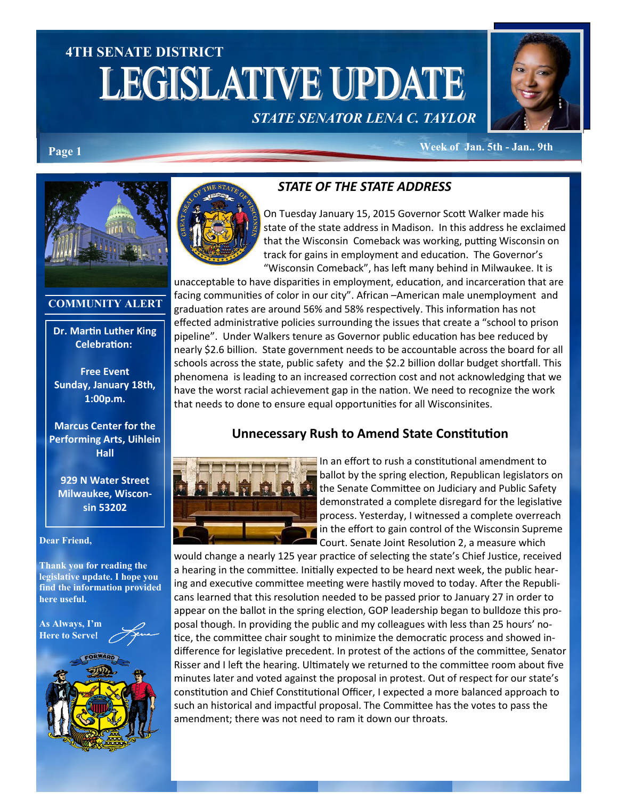# **4TH SENATE DISTRICT LEGISLATIVE UPDATE**





**Week of Jan. 5th - Jan.. 9th Page 1**



#### **COMMUNITY ALERT**

**Dr. Martin Luther King Celebration:**

**Free Event Sunday, January 18th, 1:00p.m.**

#### **Marcus Center for the Performing Arts, Uihlein Hall**

**929 N Water Street Milwaukee, Wisconsin 53202**

#### **Dear Friend,**

**Thank you for reading the legislative update. I hope you find the information provided here useful.**

**As Always, I'm Here to Serve**!



### *STATE OF THE STATE ADDRESS*

On Tuesday January 15, 2015 Governor Scott Walker made his state of the state address in Madison. In this address he exclaimed that the Wisconsin Comeback was working, putting Wisconsin on track for gains in employment and education. The Governor's "Wisconsin Comeback", has left many behind in Milwaukee. It is

unacceptable to have disparities in employment, education, and incarceration that are facing communities of color in our city". African –American male unemployment and graduation rates are around 56% and 58% respectively. This information has not effected administrative policies surrounding the issues that create a "school to prison pipeline". Under Walkers tenure as Governor public education has bee reduced by nearly \$2.6 billion. State government needs to be accountable across the board for all schools across the state, public safety and the \$2.2 billion dollar budget shortfall. This phenomena is leading to an increased correction cost and not acknowledging that we have the worst racial achievement gap in the nation. We need to recognize the work that needs to done to ensure equal opportunities for all Wisconsinites.

### **Unnecessary Rush to Amend State Constitution**



In an effort to rush a constitutional amendment to ballot by the spring election, Republican legislators on the Senate Committee on Judiciary and Public Safety demonstrated a complete disregard for the legislative process. Yesterday, I witnessed a complete overreach in the effort to gain control of the Wisconsin Supreme Court. Senate Joint Resolution 2, a measure which

would change a nearly 125 year practice of selecting the state's Chief Justice, received a hearing in the committee. Initially expected to be heard next week, the public hearing and executive committee meeting were hastily moved to today. After the Republicans learned that this resolution needed to be passed prior to January 27 in order to appear on the ballot in the spring election, GOP leadership began to bulldoze this proposal though. In providing the public and my colleagues with less than 25 hours' notice, the committee chair sought to minimize the democratic process and showed indifference for legislative precedent. In protest of the actions of the committee, Senator Risser and I left the hearing. Ultimately we returned to the committee room about five minutes later and voted against the proposal in protest. Out of respect for our state's constitution and Chief Constitutional Officer, I expected a more balanced approach to such an historical and impactful proposal. The Committee has the votes to pass the amendment; there was not need to ram it down our throats.